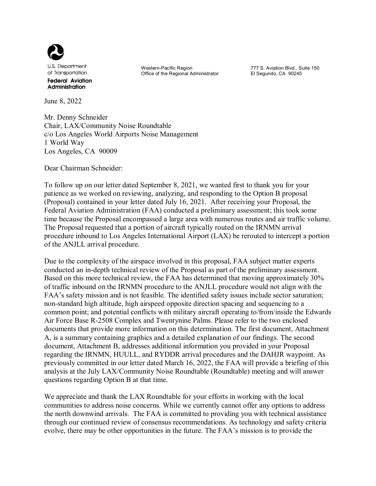

June 8, 2022

Western-Pacific Region

Office of the Regional Administrator

777 S. Aviation Blvd., Suite 150 El Segundo, CA 90245

Mr. Denny Schneider Chair, LAX/Community Noise Roundtable c/o Los Angeles World Airports Noise Management 1 World Way Los Angeles, CA 90009

Dear Chairman Schneider:

To follow up on our letter dated September 8, 2021, we wanted first to thank you for your patience as we worked on reviewing, analyzing, and responding to the Option B proposal (Proposal) contained in your letter dated July 16, 2021. After receiving your Proposal, the Federal Aviation Administration (FAA) conducted a preliminary assessment; this took some time because the Proposal encompassed a large area with numerous routes and air traffic volume. The Proposal requested that a portion of aircraft typically routed on the IRNMN arrival procedure inbound to Los Angeles International Airport (LAX) be rerouted to intercept a portion of the ANJLL arrival procedure.

Due to the complexity of the airspace involved in this proposal, FAA subject matter experts conducted an in-depth technical review of the Proposal as part of the preliminary assessment. Based on this more technical review, the FAA has determined that moving approximately 30% of traffic inbound on the IRNMN procedure to the ANJLL procedure would not align with the FAA's safety mission and is not feasible. The identified safety issues include sector saturation; non-standard high altitude, high airspeed opposite direction spacing and sequencing to a common point; and potential conflicts with military aircraft operating to/from/inside the Edwards Air Force Base R-2508 Complex and Twentynine Palms. Please refer to the two enclosed documents that provide more information on this determination. The first document, Attachment A, is a summary containing graphics and a detailed explanation of our findings. The second document, Attachment B, addresses additional information you provided in your Proposal regarding the IRNMN, HUULL, and RYDDR arrival procedures and the DAHJR waypoint. As previously committed in our letter dated March 16, 2022, the FAA will provide a briefing of this analysis at the July LAX/Community Noise Roundtable (Roundtable) meeting and will answer questions regarding Option B at that time.

We appreciate and thank the LAX Roundtable for your efforts in working with the local communities to address noise concerns. While we currently cannot offer any options to address the north downwind arrivals. The FAA is committed to providing you with technical assistance through our continued review of consensus recommendations. As technology and safety criteria evolve, there may be other opportunities in the future. The FAA's mission is to provide the